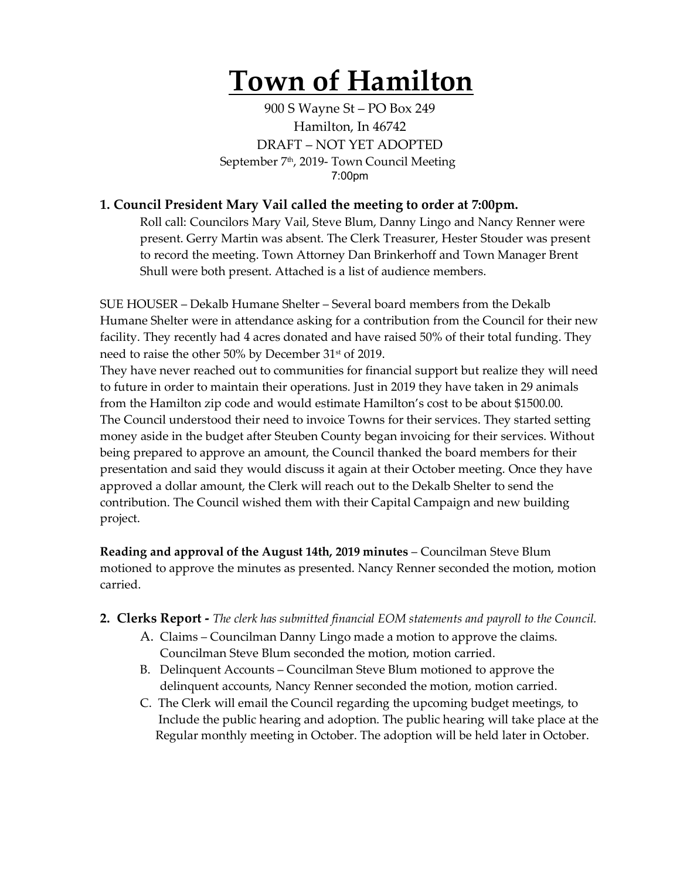# **Town of Hamilton**

900 S Wayne St – PO Box 249 Hamilton, In 46742 DRAFT – NOT YET ADOPTED September 7<sup>th</sup>, 2019- Town Council Meeting 7:00pm

## **1. Council President Mary Vail called the meeting to order at 7:00pm.**

Roll call: Councilors Mary Vail, Steve Blum, Danny Lingo and Nancy Renner were present. Gerry Martin was absent. The Clerk Treasurer, Hester Stouder was present to record the meeting. Town Attorney Dan Brinkerhoff and Town Manager Brent Shull were both present. Attached is a list of audience members.

SUE HOUSER – Dekalb Humane Shelter – Several board members from the Dekalb Humane Shelter were in attendance asking for a contribution from the Council for their new facility. They recently had 4 acres donated and have raised 50% of their total funding. They need to raise the other 50% by December 31<sup>st</sup> of 2019.

They have never reached out to communities for financial support but realize they will need to future in order to maintain their operations. Just in 2019 they have taken in 29 animals from the Hamilton zip code and would estimate Hamilton's cost to be about \$1500.00. The Council understood their need to invoice Towns for their services. They started setting money aside in the budget after Steuben County began invoicing for their services. Without being prepared to approve an amount, the Council thanked the board members for their presentation and said they would discuss it again at their October meeting. Once they have approved a dollar amount, the Clerk will reach out to the Dekalb Shelter to send the contribution. The Council wished them with their Capital Campaign and new building project.

**Reading and approval of the August 14th, 2019 minutes** – Councilman Steve Blum motioned to approve the minutes as presented. Nancy Renner seconded the motion, motion carried.

- **2. Clerks Report -** *The clerk has submitted financial EOM statements and payroll to the Council.* 
	- A. Claims Councilman Danny Lingo made a motion to approve the claims. Councilman Steve Blum seconded the motion, motion carried.
	- B. Delinquent Accounts Councilman Steve Blum motioned to approve the delinquent accounts, Nancy Renner seconded the motion, motion carried.
	- C. The Clerk will email the Council regarding the upcoming budget meetings, to Include the public hearing and adoption. The public hearing will take place at the Regular monthly meeting in October. The adoption will be held later in October.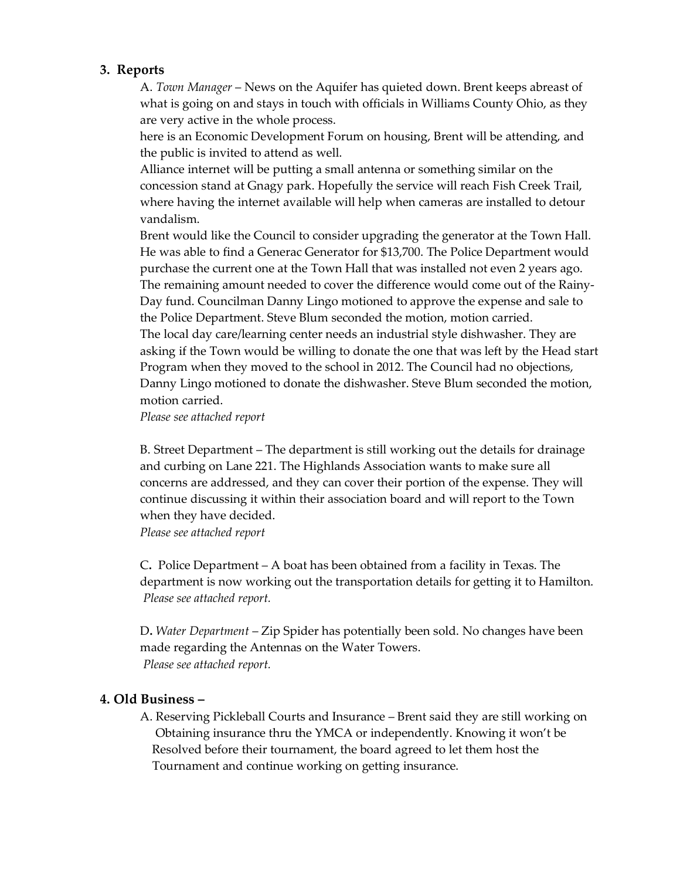### **3. Reports**

A. *Town Manager* – News on the Aquifer has quieted down. Brent keeps abreast of what is going on and stays in touch with officials in Williams County Ohio, as they are very active in the whole process.

here is an Economic Development Forum on housing, Brent will be attending, and the public is invited to attend as well.

Alliance internet will be putting a small antenna or something similar on the concession stand at Gnagy park. Hopefully the service will reach Fish Creek Trail, where having the internet available will help when cameras are installed to detour vandalism.

Brent would like the Council to consider upgrading the generator at the Town Hall. He was able to find a Generac Generator for \$13,700. The Police Department would purchase the current one at the Town Hall that was installed not even 2 years ago. The remaining amount needed to cover the difference would come out of the Rainy-Day fund. Councilman Danny Lingo motioned to approve the expense and sale to the Police Department. Steve Blum seconded the motion, motion carried. The local day care/learning center needs an industrial style dishwasher. They are asking if the Town would be willing to donate the one that was left by the Head start Program when they moved to the school in 2012. The Council had no objections, Danny Lingo motioned to donate the dishwasher. Steve Blum seconded the motion, motion carried.

*Please see attached report*

B. Street Department – The department is still working out the details for drainage and curbing on Lane 221. The Highlands Association wants to make sure all concerns are addressed, and they can cover their portion of the expense. They will continue discussing it within their association board and will report to the Town when they have decided.

*Please see attached report*

C**.** Police Department – A boat has been obtained from a facility in Texas. The department is now working out the transportation details for getting it to Hamilton. *Please see attached report.*

D**.** *Water Department* – Zip Spider has potentially been sold. No changes have been made regarding the Antennas on the Water Towers. *Please see attached report.* 

#### **4. Old Business –**

A. Reserving Pickleball Courts and Insurance – Brent said they are still working on Obtaining insurance thru the YMCA or independently. Knowing it won't be Resolved before their tournament, the board agreed to let them host the Tournament and continue working on getting insurance.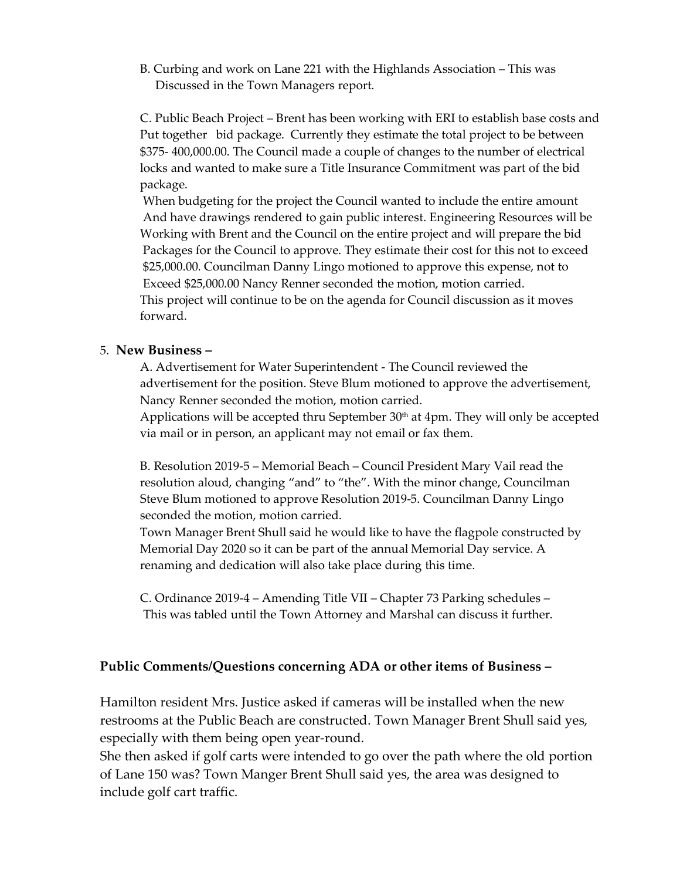B. Curbing and work on Lane 221 with the Highlands Association – This was Discussed in the Town Managers report.

C. Public Beach Project – Brent has been working with ERI to establish base costs and Put together bid package. Currently they estimate the total project to be between \$375- 400,000.00. The Council made a couple of changes to the number of electrical locks and wanted to make sure a Title Insurance Commitment was part of the bid package.

 When budgeting for the project the Council wanted to include the entire amount And have drawings rendered to gain public interest. Engineering Resources will be Working with Brent and the Council on the entire project and will prepare the bid Packages for the Council to approve. They estimate their cost for this not to exceed \$25,000.00. Councilman Danny Lingo motioned to approve this expense, not to Exceed \$25,000.00 Nancy Renner seconded the motion, motion carried. This project will continue to be on the agenda for Council discussion as it moves forward.

## 5. **New Business –**

A. Advertisement for Water Superintendent - The Council reviewed the advertisement for the position. Steve Blum motioned to approve the advertisement, Nancy Renner seconded the motion, motion carried.

Applications will be accepted thru September  $30<sup>th</sup>$  at 4pm. They will only be accepted via mail or in person, an applicant may not email or fax them.

B. Resolution 2019-5 – Memorial Beach – Council President Mary Vail read the resolution aloud, changing "and" to "the". With the minor change, Councilman Steve Blum motioned to approve Resolution 2019-5. Councilman Danny Lingo seconded the motion, motion carried.

Town Manager Brent Shull said he would like to have the flagpole constructed by Memorial Day 2020 so it can be part of the annual Memorial Day service. A renaming and dedication will also take place during this time.

C. Ordinance 2019-4 – Amending Title VII – Chapter 73 Parking schedules – This was tabled until the Town Attorney and Marshal can discuss it further.

## **Public Comments/Questions concerning ADA or other items of Business –**

Hamilton resident Mrs. Justice asked if cameras will be installed when the new restrooms at the Public Beach are constructed. Town Manager Brent Shull said yes, especially with them being open year-round.

She then asked if golf carts were intended to go over the path where the old portion of Lane 150 was? Town Manger Brent Shull said yes, the area was designed to include golf cart traffic.